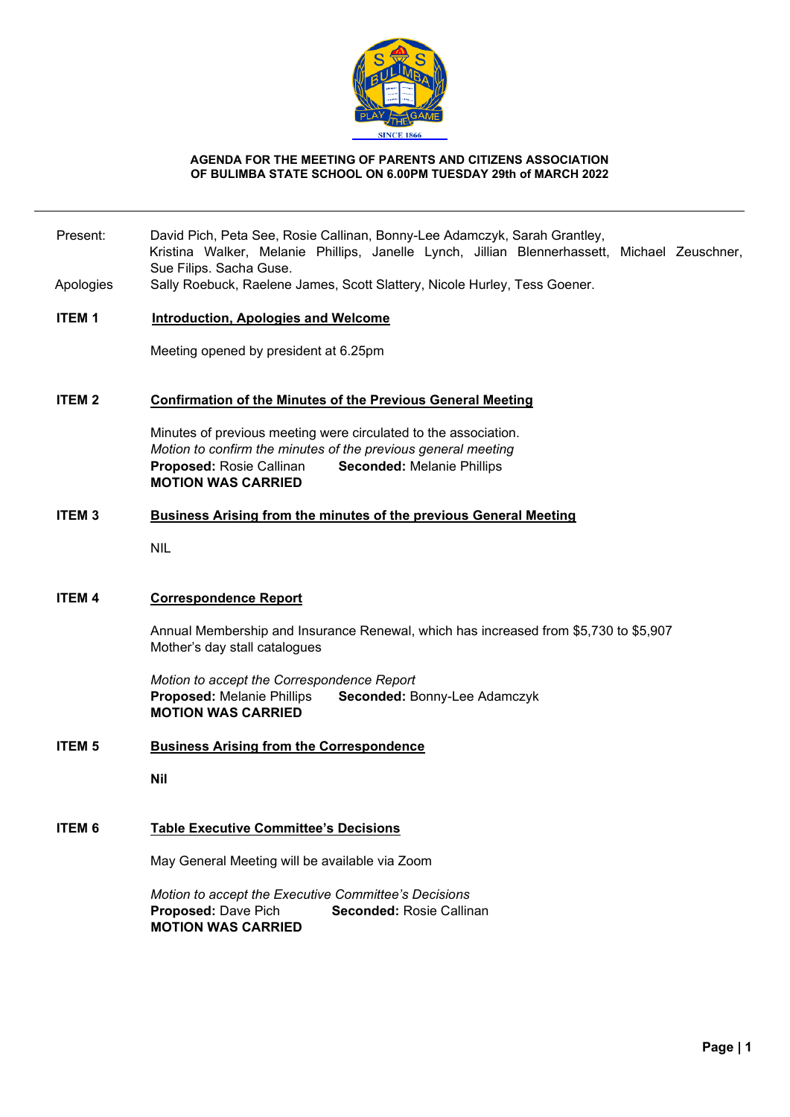

#### **AGENDA FOR THE MEETING OF PARENTS AND CITIZENS ASSOCIATION OF BULIMBA STATE SCHOOL ON 6.00PM TUESDAY 29th of MARCH 2022**

- Present: David Pich, Peta See, Rosie Callinan, Bonny-Lee Adamczyk, Sarah Grantley, Kristina Walker, Melanie Phillips, Janelle Lynch, Jillian Blennerhassett, Michael Zeuschner, Sue Filips. Sacha Guse.
- Apologies Sally Roebuck, Raelene James, Scott Slattery, Nicole Hurley, Tess Goener.

## **ITEM 1 Introduction, Apologies and Welcome**

Meeting opened by president at 6.25pm

#### **ITEM 2 Confirmation of the Minutes of the Previous General Meeting**

Minutes of previous meeting were circulated to the association. *Motion to confirm the minutes of the previous general meeting* **Proposed:** Rosie Callinan **Seconded:** Melanie Phillips **MOTION WAS CARRIED**

## **ITEM 3 Business Arising from the minutes of the previous General Meeting**

NIL

### **ITEM 4 Correspondence Report**

Annual Membership and Insurance Renewal, which has increased from \$5,730 to \$5,907 Mother's day stall catalogues

*Motion to accept the Correspondence Report* **Proposed:** Melanie Phillips **Seconded:** Bonny-Lee Adamczyk **MOTION WAS CARRIED**

**ITEM 5 Business Arising from the Correspondence**

**Nil**

#### **ITEM 6 Table Executive Committee's Decisions**

May General Meeting will be available via Zoom

*Motion to accept the Executive Committee's Decisions* **Proposed:** Dave Pich **Seconded:** Rosie Callinan **MOTION WAS CARRIED**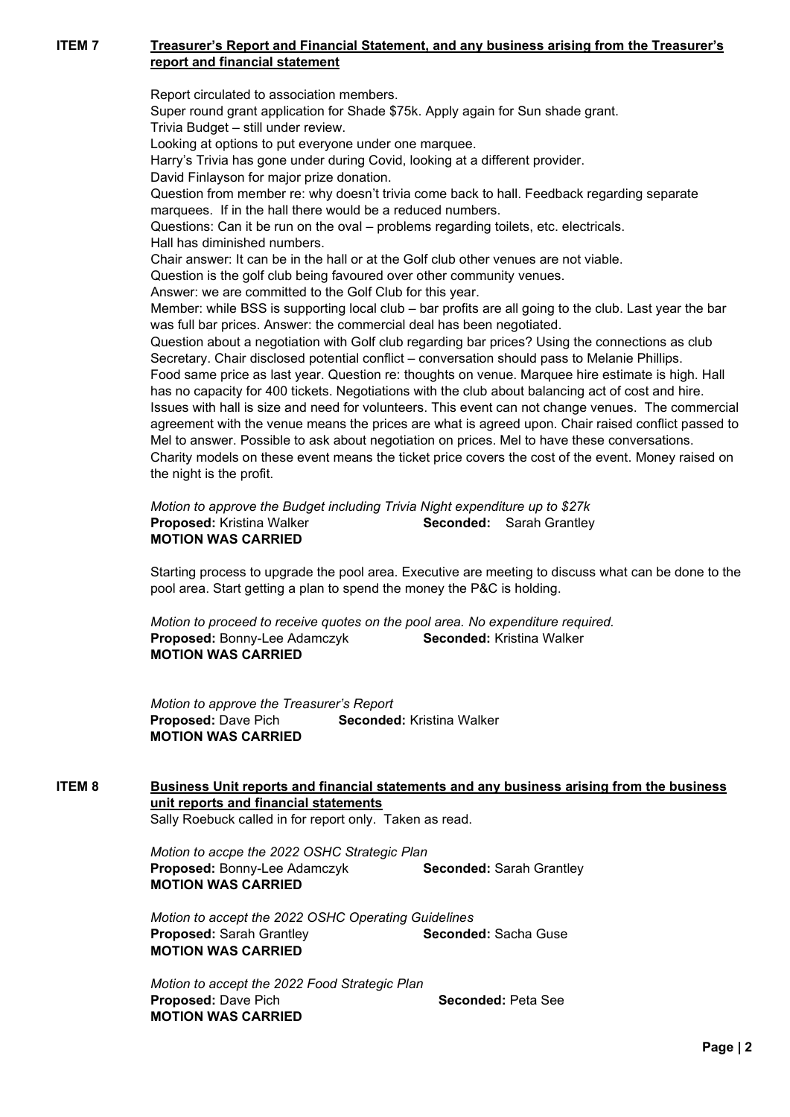# **ITEM 7 Treasurer's Report and Financial Statement, and any business arising from the Treasurer's report and financial statement**

Report circulated to association members. Super round grant application for Shade \$75k. Apply again for Sun shade grant. Trivia Budget – still under review. Looking at options to put everyone under one marquee. Harry's Trivia has gone under during Covid, looking at a different provider. David Finlayson for major prize donation. Question from member re: why doesn't trivia come back to hall. Feedback regarding separate marquees. If in the hall there would be a reduced numbers. Questions: Can it be run on the oval – problems regarding toilets, etc. electricals. Hall has diminished numbers. Chair answer: It can be in the hall or at the Golf club other venues are not viable. Question is the golf club being favoured over other community venues. Answer: we are committed to the Golf Club for this year. Member: while BSS is supporting local club – bar profits are all going to the club. Last year the bar was full bar prices. Answer: the commercial deal has been negotiated. Question about a negotiation with Golf club regarding bar prices? Using the connections as club Secretary. Chair disclosed potential conflict – conversation should pass to Melanie Phillips. Food same price as last year. Question re: thoughts on venue. Marquee hire estimate is high. Hall has no capacity for 400 tickets. Negotiations with the club about balancing act of cost and hire. Issues with hall is size and need for volunteers. This event can not change venues. The commercial agreement with the venue means the prices are what is agreed upon. Chair raised conflict passed to Mel to answer. Possible to ask about negotiation on prices. Mel to have these conversations. Charity models on these event means the ticket price covers the cost of the event. Money raised on the night is the profit.

*Motion to approve the Budget including Trivia Night expenditure up to \$27k* **Proposed:** Kristina Walker **Seconded:** Sarah Grantley **MOTION WAS CARRIED**

Starting process to upgrade the pool area. Executive are meeting to discuss what can be done to the pool area. Start getting a plan to spend the money the P&C is holding.

*Motion to proceed to receive quotes on the pool area. No expenditure required.*  **Proposed:** Bonny-Lee Adamczyk **Seconded:** Kristina Walker **MOTION WAS CARRIED**

*Motion to approve the Treasurer's Report* **Proposed:** Dave Pich **Seconded:** Kristina Walker **MOTION WAS CARRIED**

#### **ITEM 8 Business Unit reports and financial statements and any business arising from the business unit reports and financial statements** Sally Roebuck called in for report only. Taken as read.

*Motion to accpe the 2022 OSHC Strategic Plan* **Proposed: Bonny-Lee Adamczyk <b>Seconded:** Sarah Grantley **MOTION WAS CARRIED**

*Motion to accept the 2022 OSHC Operating Guidelines* **Proposed:** Sarah Grantley **Seconded:** Sacha Guse **MOTION WAS CARRIED**

*Motion to accept the 2022 Food Strategic Plan* **Proposed:** Dave Pich **Seconded:** Peta See **MOTION WAS CARRIED**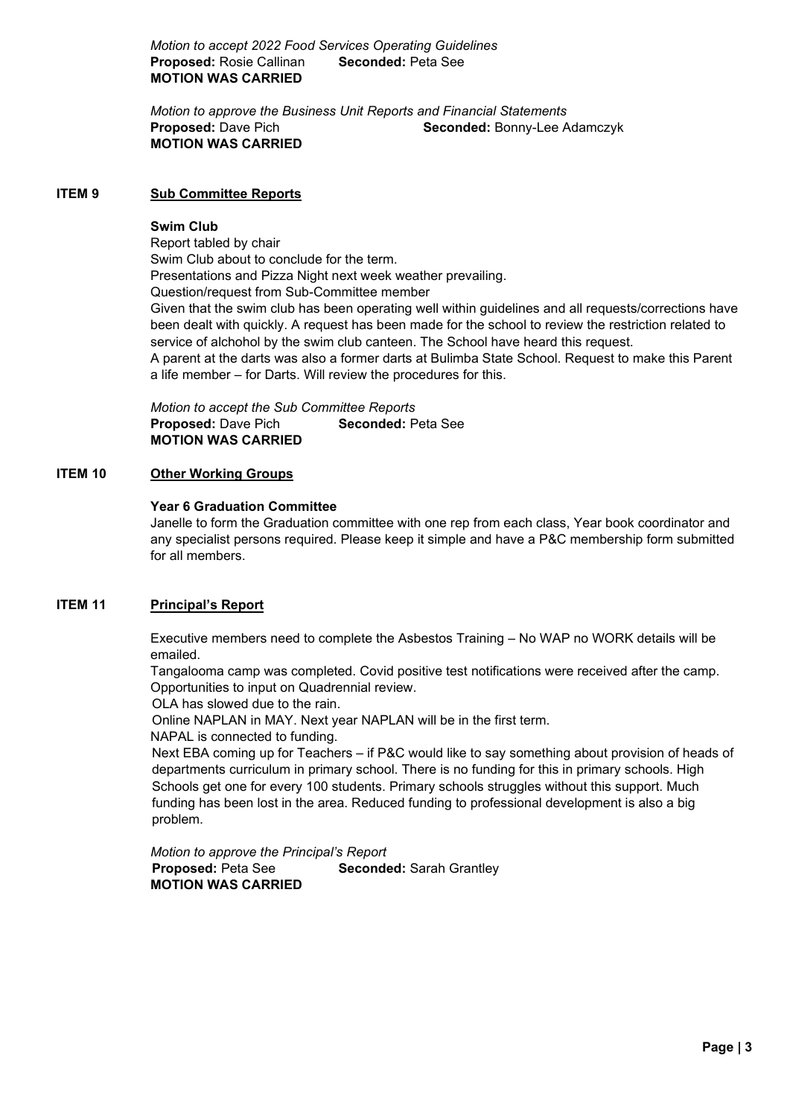*Motion to accept 2022 Food Services Operating Guidelines* **Proposed:** Rosie Callinan **Seconded:** Peta See **MOTION WAS CARRIED**

*Motion to approve the Business Unit Reports and Financial Statements* **Proposed:** Dave Pich **Seconded:** Bonny-Lee Adamczyk **MOTION WAS CARRIED**

## **ITEM 9 Sub Committee Reports**

#### **Swim Club**

Report tabled by chair Swim Club about to conclude for the term. Presentations and Pizza Night next week weather prevailing. Question/request from Sub-Committee member Given that the swim club has been operating well within guidelines and all requests/corrections have been dealt with quickly. A request has been made for the school to review the restriction related to service of alchohol by the swim club canteen. The School have heard this request. A parent at the darts was also a former darts at Bulimba State School. Request to make this Parent a life member – for Darts. Will review the procedures for this.

*Motion to accept the Sub Committee Reports* **Proposed:** Dave Pich **Seconded:** Peta See **MOTION WAS CARRIED**

## **ITEM 10 Other Working Groups**

#### **Year 6 Graduation Committee**

Janelle to form the Graduation committee with one rep from each class, Year book coordinator and any specialist persons required. Please keep it simple and have a P&C membership form submitted for all members.

## **ITEM 11 Principal's Report**

Executive members need to complete the Asbestos Training – No WAP no WORK details will be emailed.

Tangalooma camp was completed. Covid positive test notifications were received after the camp. Opportunities to input on Quadrennial review.

OLA has slowed due to the rain.

Online NAPLAN in MAY. Next year NAPLAN will be in the first term.

NAPAL is connected to funding.

Next EBA coming up for Teachers – if P&C would like to say something about provision of heads of departments curriculum in primary school. There is no funding for this in primary schools. High Schools get one for every 100 students. Primary schools struggles without this support. Much funding has been lost in the area. Reduced funding to professional development is also a big problem.

*Motion to approve the Principal's Report* **Proposed:** Peta See **Seconded:** Sarah Grantley **MOTION WAS CARRIED**